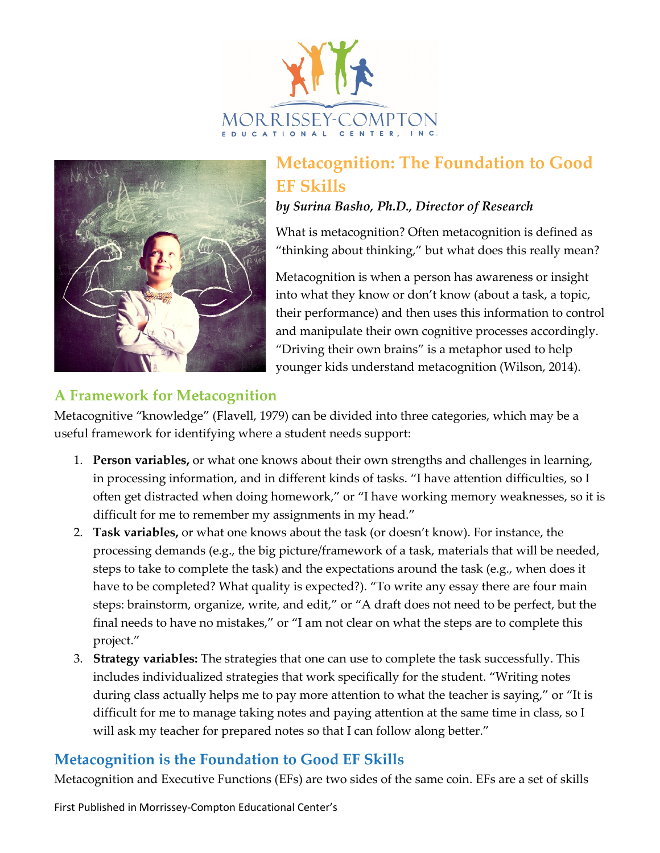



# **Metacognition: The Foundation to Good EF Skills**

#### *by Surina Basho, Ph.D., Director of Research*

What is metacognition? Often metacognition is defined as "thinking about thinking," but what does this really mean?

Metacognition is when a person has awareness or insight into what they know or don't know (about a task, a topic, their performance) and then uses this information to control and manipulate their own cognitive processes accordingly. "Driving their own brains" is a metaphor used to help younger kids understand metacognition (Wilson, 2014).

### **A Framework for Metacognition**

Metacognitive "knowledge" (Flavell, 1979) can be divided into three categories, which may be a useful framework for identifying where a student needs support:

- 1. **Person variables,** or what one knows about their own strengths and challenges in learning, in processing information, and in different kinds of tasks. "I have attention difficulties, so I often get distracted when doing homework," or "I have working memory weaknesses, so it is difficult for me to remember my assignments in my head."
- 2. **Task variables,** or what one knows about the task (or doesn't know). For instance, the processing demands (e.g., the big picture/framework of a task, materials that will be needed, steps to take to complete the task) and the expectations around the task (e.g., when does it have to be completed? What quality is expected?). "To write any essay there are four main steps: brainstorm, organize, write, and edit," or "A draft does not need to be perfect, but the final needs to have no mistakes," or "I am not clear on what the steps are to complete this project."
- 3. **Strategy variables:** The strategies that one can use to complete the task successfully. This includes individualized strategies that work specifically for the student. "Writing notes during class actually helps me to pay more attention to what the teacher is saying," or "It is difficult for me to manage taking notes and paying attention at the same time in class, so I will ask my teacher for prepared notes so that I can follow along better."

# **Metacognition is the Foundation to Good EF Skills**

Metacognition and Executive Functions (EFs) are two sides of the same coin. EFs are a set of skills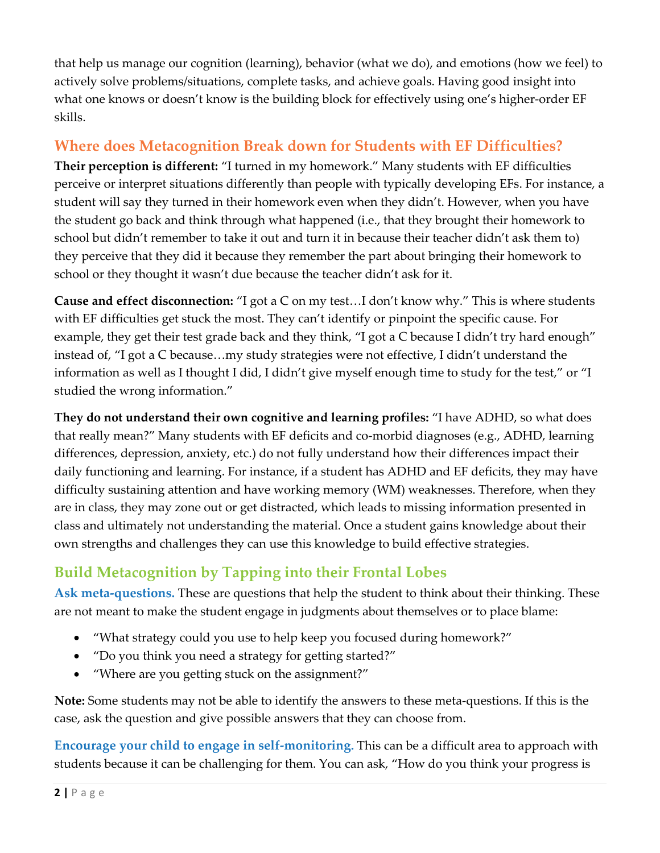that help us manage our cognition (learning), behavior (what we do), and emotions (how we feel) to actively solve problems/situations, complete tasks, and achieve goals. Having good insight into what one knows or doesn't know is the building block for effectively using one's higher-order EF skills.

### **Where does Metacognition Break down for Students with EF Difficulties?**

**Their perception is different:** "I turned in my homework." Many students with EF difficulties perceive or interpret situations differently than people with typically developing EFs. For instance, a student will say they turned in their homework even when they didn't. However, when you have the student go back and think through what happened (i.e., that they brought their homework to school but didn't remember to take it out and turn it in because their teacher didn't ask them to) they perceive that they did it because they remember the part about bringing their homework to school or they thought it wasn't due because the teacher didn't ask for it.

**Cause and effect disconnection:** "I got a C on my test…I don't know why." This is where students with EF difficulties get stuck the most. They can't identify or pinpoint the specific cause. For example, they get their test grade back and they think, "I got a C because I didn't try hard enough" instead of, "I got a C because…my study strategies were not effective, I didn't understand the information as well as I thought I did, I didn't give myself enough time to study for the test," or "I studied the wrong information."

**They do not understand their own cognitive and learning profiles:** "I have ADHD, so what does that really mean?" Many students with EF deficits and co-morbid diagnoses (e.g., ADHD, learning differences, depression, anxiety, etc.) do not fully understand how their differences impact their daily functioning and learning. For instance, if a student has ADHD and EF deficits, they may have difficulty sustaining attention and have working memory (WM) weaknesses. Therefore, when they are in class, they may zone out or get distracted, which leads to missing information presented in class and ultimately not understanding the material. Once a student gains knowledge about their own strengths and challenges they can use this knowledge to build effective strategies.

# **Build Metacognition by Tapping into their Frontal Lobes**

**Ask meta-questions.** These are questions that help the student to think about their thinking. These are not meant to make the student engage in judgments about themselves or to place blame:

- "What strategy could you use to help keep you focused during homework?"
- "Do you think you need a strategy for getting started?"
- "Where are you getting stuck on the assignment?"

**Note:** Some students may not be able to identify the answers to these meta-questions. If this is the case, ask the question and give possible answers that they can choose from.

**Encourage your child to engage in self-monitoring.** This can be a difficult area to approach with students because it can be challenging for them. You can ask, "How do you think your progress is